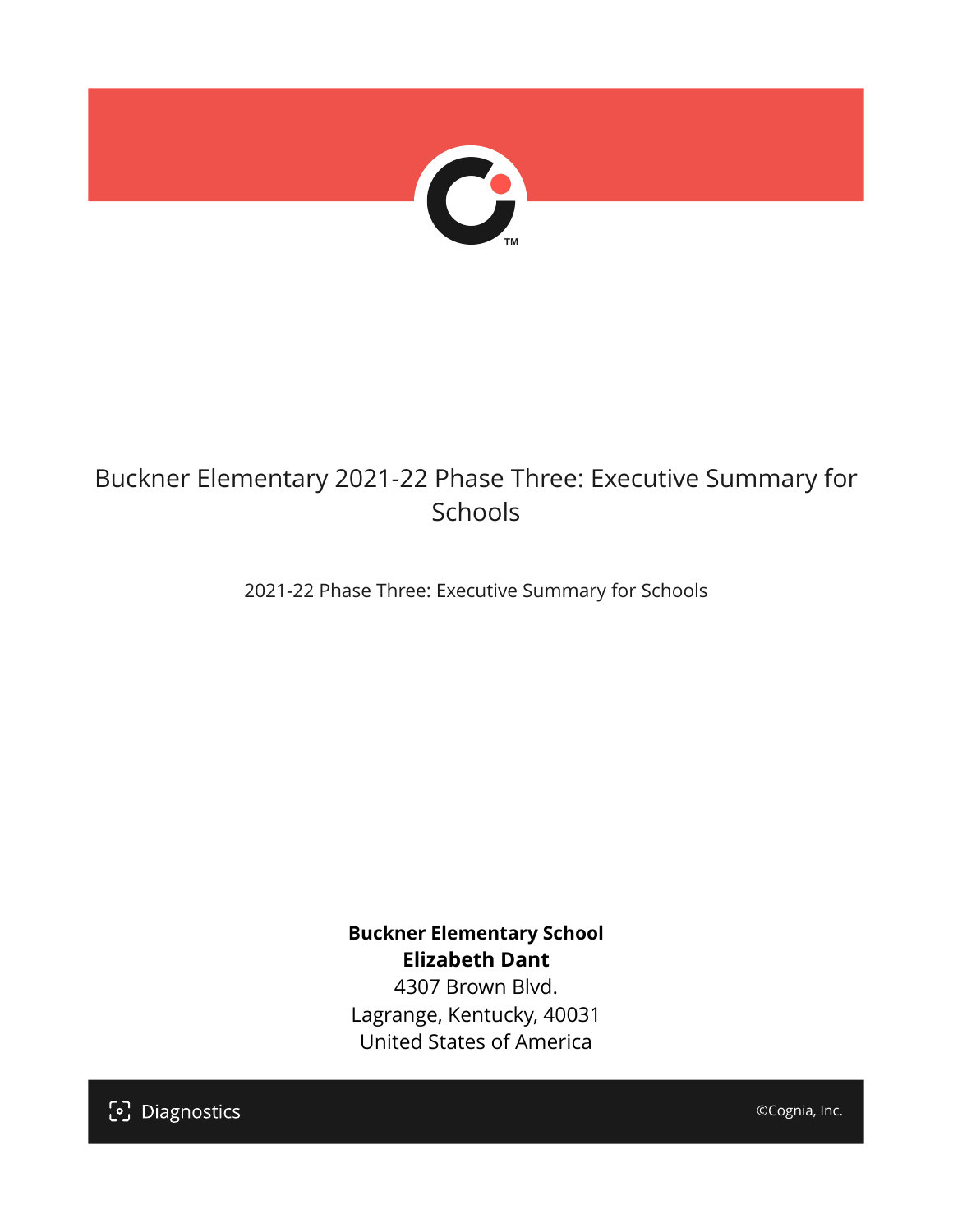

## Buckner Elementary 2021-22 Phase Three: Executive Summary for Schools

2021-22 Phase Three: Executive Summary for Schools

**Buckner Elementary School Elizabeth Dant** 4307 Brown Blvd.

Lagrange, Kentucky, 40031 United States of America

[၁] Diagnostics

©Cognia, Inc.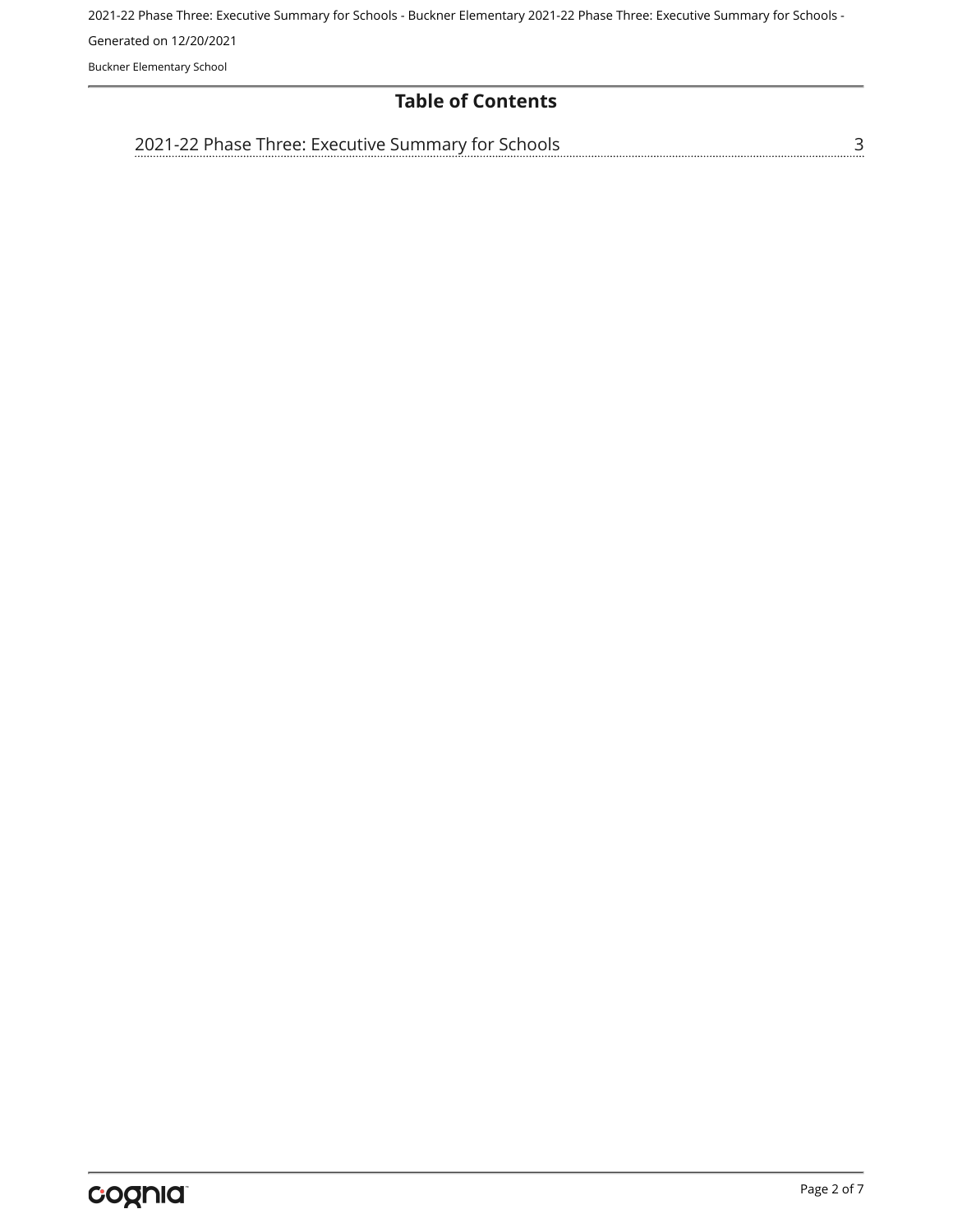2021-22 Phase Three: Executive Summary for Schools - Buckner Elementary 2021-22 Phase Three: Executive Summary for Schools - Generated on 12/20/2021 Buckner Elementary School

#### **Table of Contents**

[3](#page-2-0) [2021-22 Phase Three: Executive Summary for Schools](#page-2-0)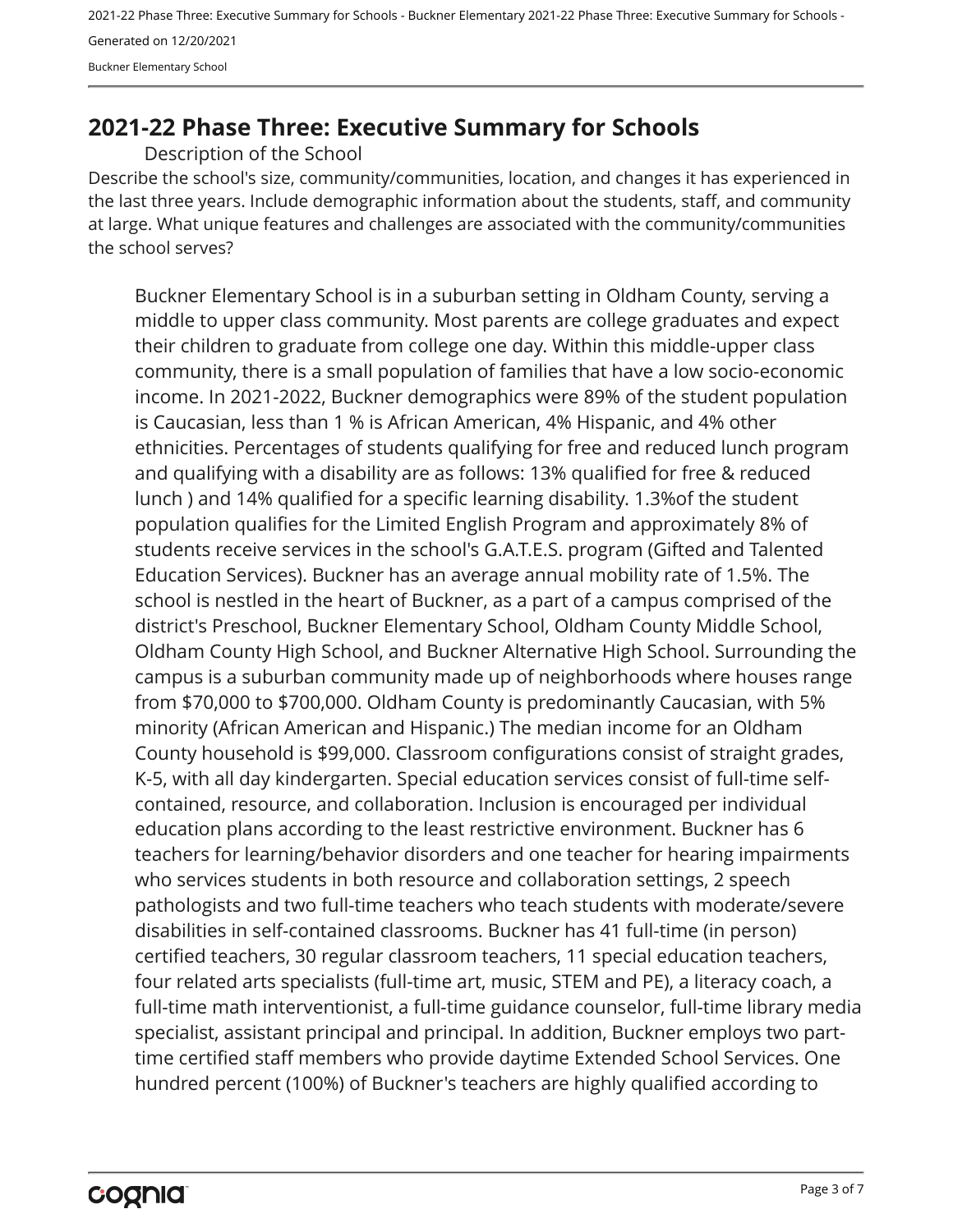2021-22 Phase Three: Executive Summary for Schools - Buckner Elementary 2021-22 Phase Three: Executive Summary for Schools - Generated on 12/20/2021 Buckner Elementary School

### <span id="page-2-0"></span>**2021-22 Phase Three: Executive Summary for Schools**

Description of the School

Describe the school's size, community/communities, location, and changes it has experienced in the last three years. Include demographic information about the students, staff, and community at large. What unique features and challenges are associated with the community/communities the school serves?

Buckner Elementary School is in a suburban setting in Oldham County, serving a middle to upper class community. Most parents are college graduates and expect their children to graduate from college one day. Within this middle-upper class community, there is a small population of families that have a low socio-economic income. In 2021-2022, Buckner demographics were 89% of the student population is Caucasian, less than 1 % is African American, 4% Hispanic, and 4% other ethnicities. Percentages of students qualifying for free and reduced lunch program and qualifying with a disability are as follows: 13% qualified for free & reduced lunch ) and 14% qualified for a specific learning disability. 1.3%of the student population qualifies for the Limited English Program and approximately 8% of students receive services in the school's G.A.T.E.S. program (Gifted and Talented Education Services). Buckner has an average annual mobility rate of 1.5%. The school is nestled in the heart of Buckner, as a part of a campus comprised of the district's Preschool, Buckner Elementary School, Oldham County Middle School, Oldham County High School, and Buckner Alternative High School. Surrounding the campus is a suburban community made up of neighborhoods where houses range from \$70,000 to \$700,000. Oldham County is predominantly Caucasian, with 5% minority (African American and Hispanic.) The median income for an Oldham County household is \$99,000. Classroom configurations consist of straight grades, K-5, with all day kindergarten. Special education services consist of full-time selfcontained, resource, and collaboration. Inclusion is encouraged per individual education plans according to the least restrictive environment. Buckner has 6 teachers for learning/behavior disorders and one teacher for hearing impairments who services students in both resource and collaboration settings, 2 speech pathologists and two full-time teachers who teach students with moderate/severe disabilities in self-contained classrooms. Buckner has 41 full-time (in person) certified teachers, 30 regular classroom teachers, 11 special education teachers, four related arts specialists (full-time art, music, STEM and PE), a literacy coach, a full-time math interventionist, a full-time guidance counselor, full-time library media specialist, assistant principal and principal. In addition, Buckner employs two parttime certified staff members who provide daytime Extended School Services. One hundred percent (100%) of Buckner's teachers are highly qualified according to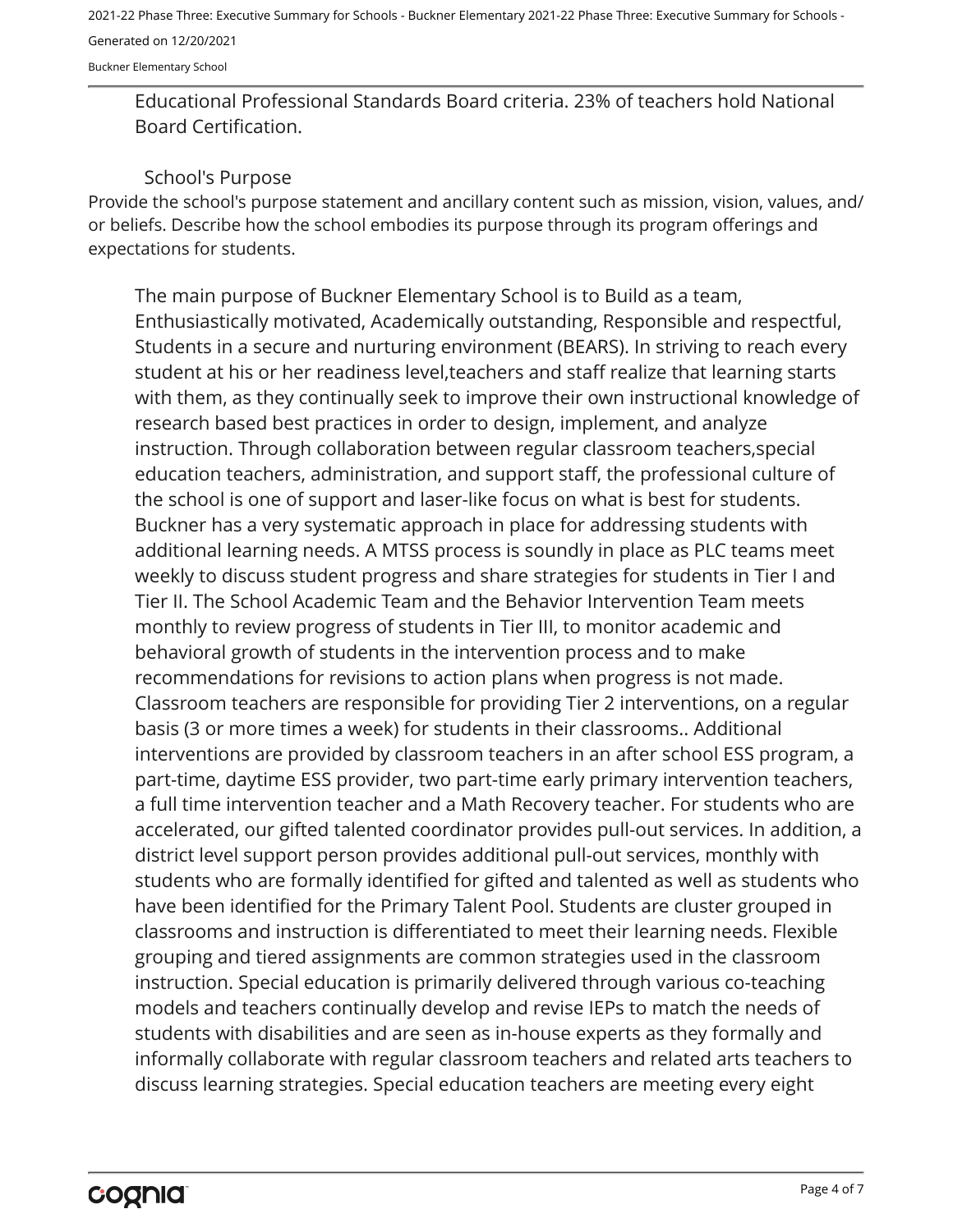2021-22 Phase Three: Executive Summary for Schools - Buckner Elementary 2021-22 Phase Three: Executive Summary for Schools - Generated on 12/20/2021

Buckner Elementary School

Educational Professional Standards Board criteria. 23% of teachers hold National Board Certification.

#### School's Purpose

Provide the school's purpose statement and ancillary content such as mission, vision, values, and/ or beliefs. Describe how the school embodies its purpose through its program offerings and expectations for students.

The main purpose of Buckner Elementary School is to Build as a team, Enthusiastically motivated, Academically outstanding, Responsible and respectful, Students in a secure and nurturing environment (BEARS). In striving to reach every student at his or her readiness level,teachers and staff realize that learning starts with them, as they continually seek to improve their own instructional knowledge of research based best practices in order to design, implement, and analyze instruction. Through collaboration between regular classroom teachers,special education teachers, administration, and support staff, the professional culture of the school is one of support and laser-like focus on what is best for students. Buckner has a very systematic approach in place for addressing students with additional learning needs. A MTSS process is soundly in place as PLC teams meet weekly to discuss student progress and share strategies for students in Tier I and Tier II. The School Academic Team and the Behavior Intervention Team meets monthly to review progress of students in Tier III, to monitor academic and behavioral growth of students in the intervention process and to make recommendations for revisions to action plans when progress is not made. Classroom teachers are responsible for providing Tier 2 interventions, on a regular basis (3 or more times a week) for students in their classrooms.. Additional interventions are provided by classroom teachers in an after school ESS program, a part-time, daytime ESS provider, two part-time early primary intervention teachers, a full time intervention teacher and a Math Recovery teacher. For students who are accelerated, our gifted talented coordinator provides pull-out services. In addition, a district level support person provides additional pull-out services, monthly with students who are formally identified for gifted and talented as well as students who have been identified for the Primary Talent Pool. Students are cluster grouped in classrooms and instruction is differentiated to meet their learning needs. Flexible grouping and tiered assignments are common strategies used in the classroom instruction. Special education is primarily delivered through various co-teaching models and teachers continually develop and revise IEPs to match the needs of students with disabilities and are seen as in-house experts as they formally and informally collaborate with regular classroom teachers and related arts teachers to discuss learning strategies. Special education teachers are meeting every eight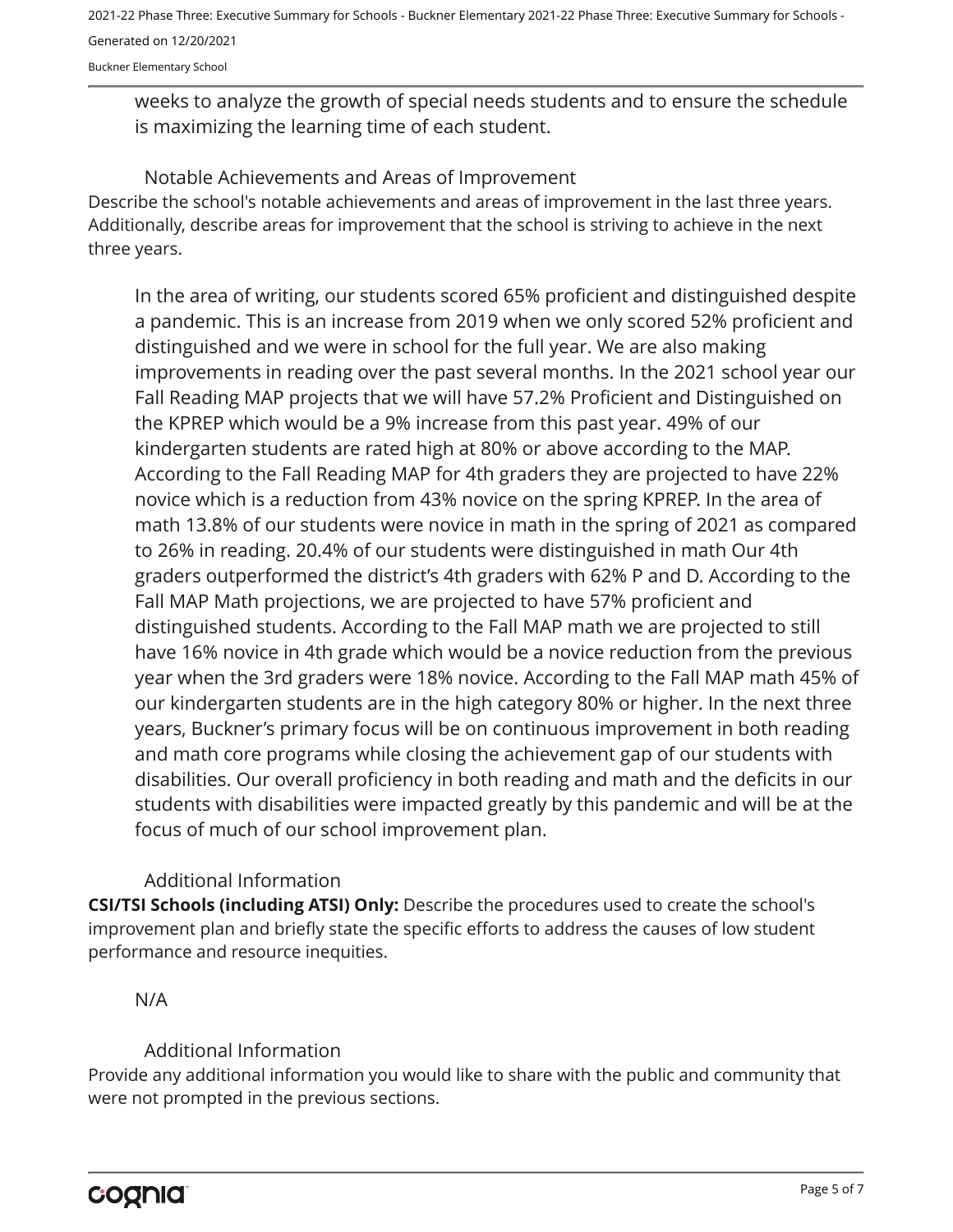2021-22 Phase Three: Executive Summary for Schools - Buckner Elementary 2021-22 Phase Three: Executive Summary for Schools - Generated on 12/20/2021

Buckner Elementary School

weeks to analyze the growth of special needs students and to ensure the schedule is maximizing the learning time of each student.

Describe the school's notable achievements and areas of improvement in the last three years. Additionally, describe areas for improvement that the school is striving to achieve in the next three years. Notable Achievements and Areas of Improvement

In the area of writing, our students scored 65% proficient and distinguished despite a pandemic. This is an increase from 2019 when we only scored 52% proficient and distinguished and we were in school for the full year. We are also making improvements in reading over the past several months. In the 2021 school year our Fall Reading MAP projects that we will have 57.2% Proficient and Distinguished on the KPREP which would be a 9% increase from this past year. 49% of our kindergarten students are rated high at 80% or above according to the MAP. According to the Fall Reading MAP for 4th graders they are projected to have 22% novice which is a reduction from 43% novice on the spring KPREP. In the area of math 13.8% of our students were novice in math in the spring of 2021 as compared to 26% in reading. 20.4% of our students were distinguished in math Our 4th graders outperformed the district's 4th graders with 62% P and D. According to the Fall MAP Math projections, we are projected to have 57% proficient and distinguished students. According to the Fall MAP math we are projected to still have 16% novice in 4th grade which would be a novice reduction from the previous year when the 3rd graders were 18% novice. According to the Fall MAP math 45% of our kindergarten students are in the high category 80% or higher. In the next three years, Buckner's primary focus will be on continuous improvement in both reading and math core programs while closing the achievement gap of our students with disabilities. Our overall proficiency in both reading and math and the deficits in our students with disabilities were impacted greatly by this pandemic and will be at the focus of much of our school improvement plan.

#### Additional Information

**CSI/TSI Schools (including ATSI) Only:** Describe the procedures used to create the school's improvement plan and briefly state the specific efforts to address the causes of low student performance and resource inequities.

#### N/A

#### Additional Information

Provide any additional information you would like to share with the public and community that were not prompted in the previous sections.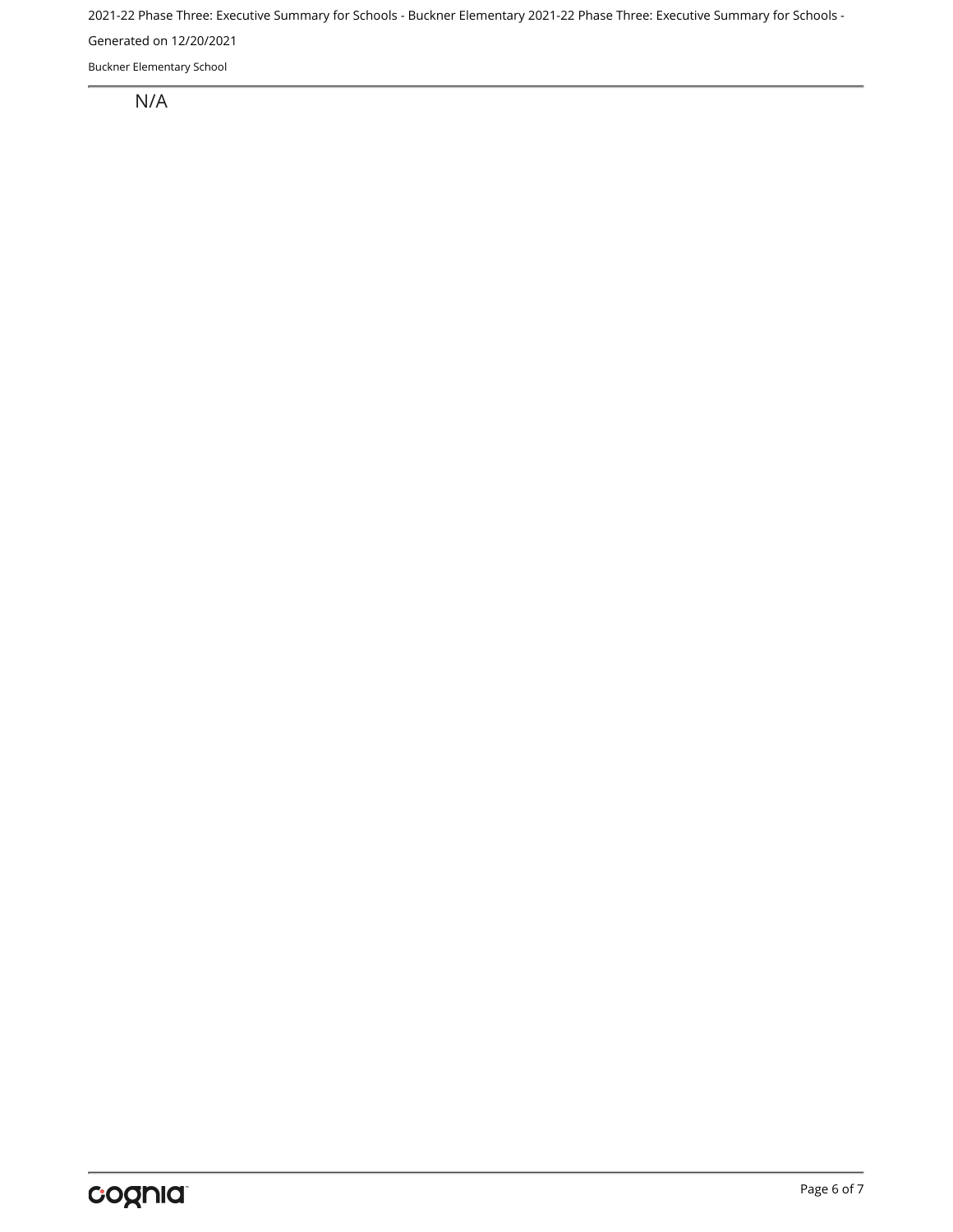2021-22 Phase Three: Executive Summary for Schools - Buckner Elementary 2021-22 Phase Three: Executive Summary for Schools -

Generated on 12/20/2021

Buckner Elementary School